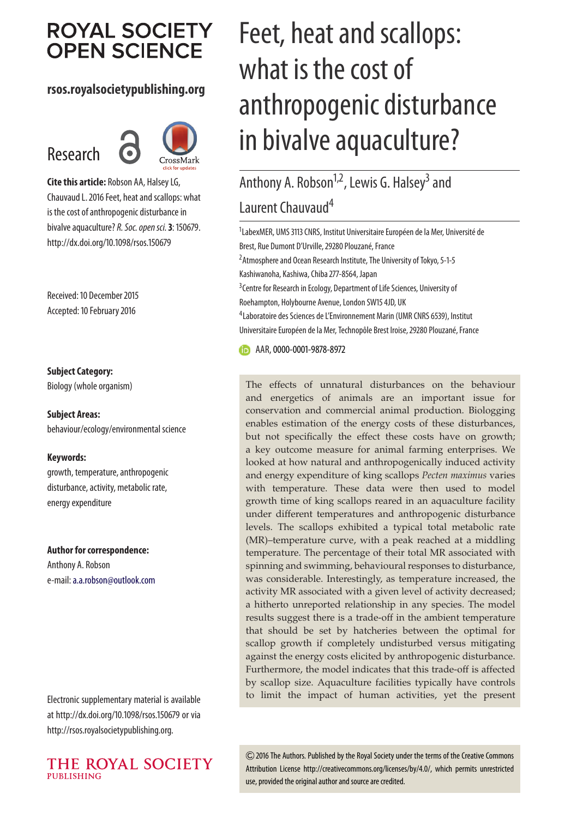## **ROYAL SOCIETY OPEN SCIENCE**

#### **rsos.royalsocietypublishing.org**

# Research



**Cite this article:** Robson AA, Halsey LG, Chauvaud L. 2016 Feet, heat and scallops: what is the cost of anthropogenic disturbance in bivalve aquaculture? R. Soc. open sci. 3: 150679. http://dx.doi.org/10.1098/rsos.150679

Received: 10 December 2015 Accepted: 10 February 2016

#### **Subject Category:**

Biology (whole organism)

**Subject Areas:** behaviour/ecology/environmental science

#### **Keywords:**

growth, temperature, anthropogenic disturbance, activity, metabolic rate, energy expenditure

#### **Author for correspondence:**

Anthony A. Robson e-mail:[a.a.robson@outlook.com](mailto:a.a.robson@outlook.com)

Electronic supplementary material is available at http://dx.doi.org/10.1098/rsos.150679 or via http://rsos.royalsocietypublishing.org.



# Feet, heat and scallops: what is the cost of anthropogenic disturbance in bivalve aquaculture?

## Anthony A. Robson<sup>1,2</sup>, Lewis G. Halsey<sup>3</sup> and Laurent Chauvaud<sup>4</sup>

<sup>1</sup>LabexMER, UMS 3113 CNRS, Institut Universitaire Européen de la Mer, Université de Brest, Rue Dumont D'Urville, 29280 Plouzané, France <sup>2</sup> Atmosphere and Ocean Research Institute, The University of Tokyo, 5-1-5

Kashiwanoha, Kashiwa, Chiba 277-8564, Japan

<sup>3</sup> Centre for Research in Ecology, Department of Life Sciences, University of Roehampton, Holybourne Avenue, London SW15 4JD, UK

4 Laboratoire des Sciences de L'Environnement Marin (UMR CNRS 6539), Institut Universitaire Européen de la Mer, Technopôle Brest Iroise, 29280 Plouzané, France

**B** AAR, [0000-0001-9878-8972](http://orcid.org/0000-0001-9878-8972)

The effects of unnatural disturbances on the behaviour and energetics of animals are an important issue for conservation and commercial animal production. Biologging enables estimation of the energy costs of these disturbances, but not specifically the effect these costs have on growth; a key outcome measure for animal farming enterprises. We looked at how natural and anthropogenically induced activity and energy expenditure of king scallops *Pecten maximus* varies with temperature. These data were then used to model growth time of king scallops reared in an aquaculture facility under different temperatures and anthropogenic disturbance levels. The scallops exhibited a typical total metabolic rate (MR)–temperature curve, with a peak reached at a middling temperature. The percentage of their total MR associated with spinning and swimming, behavioural responses to disturbance, was considerable. Interestingly, as temperature increased, the activity MR associated with a given level of activity decreased; a hitherto unreported relationship in any species. The model results suggest there is a trade-off in the ambient temperature that should be set by hatcheries between the optimal for scallop growth if completely undisturbed versus mitigating against the energy costs elicited by anthropogenic disturbance. Furthermore, the model indicates that this trade-off is affected by scallop size. Aquaculture facilities typically have controls to limit the impact of human activities, yet the present

2016 The Authors. Published by the Royal Society under the terms of the Creative Commons Attribution License http://creativecommons.org/licenses/by/4.0/, which permits unrestricted use, provided the original author and source are credited.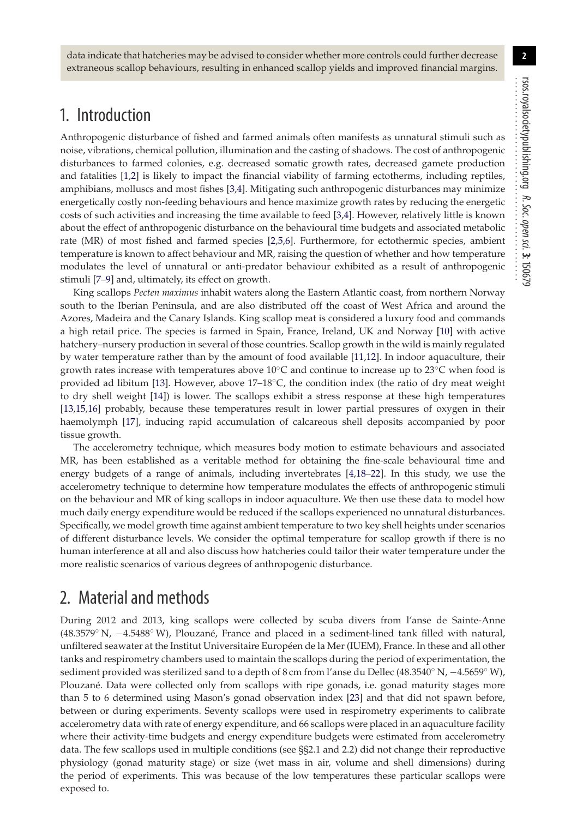data indicate that hatcheries may be advised to consider whether more controls could further decrease extraneous scallop behaviours, resulting in enhanced scallop yields and improved financial margins.

### 1. Introduction

Anthropogenic disturbance of fished and farmed animals often manifests as unnatural stimuli such as noise, vibrations, chemical pollution, illumination and the casting of shadows. The cost of anthropogenic disturbances to farmed colonies, e.g. decreased somatic growth rates, decreased gamete production and fatalities [\[1,](#page-11-0)[2\]](#page-11-1) is likely to impact the financial viability of farming ectotherms, including reptiles, amphibians, molluscs and most fishes [\[3,](#page-11-2)[4\]](#page-11-3). Mitigating such anthropogenic disturbances may minimize energetically costly non-feeding behaviours and hence maximize growth rates by reducing the energetic costs of such activities and increasing the time available to feed [\[3,](#page-11-2)[4\]](#page-11-3). However, relatively little is known about the effect of anthropogenic disturbance on the behavioural time budgets and associated metabolic rate (MR) of most fished and farmed species [\[2,](#page-11-1)[5](#page-11-4)[,6\]](#page-11-5). Furthermore, for ectothermic species, ambient temperature is known to affect behaviour and MR, raising the question of whether and how temperature modulates the level of unnatural or anti-predator behaviour exhibited as a result of anthropogenic stimuli [\[7](#page-11-6)[–9\]](#page-11-7) and, ultimately, its effect on growth.

King scallops *Pecten maximus* inhabit waters along the Eastern Atlantic coast, from northern Norway south to the Iberian Peninsula, and are also distributed off the coast of West Africa and around the Azores, Madeira and the Canary Islands. King scallop meat is considered a luxury food and commands a high retail price. The species is farmed in Spain, France, Ireland, UK and Norway [\[10\]](#page-11-8) with active hatchery–nursery production in several of those countries. Scallop growth in the wild is mainly regulated by water temperature rather than by the amount of food available [\[11,](#page-11-9)[12\]](#page-11-10). In indoor aquaculture, their growth rates increase with temperatures above  $10\degree$ C and continue to increase up to 23<sup>°</sup>C when food is provided ad libitum [\[13\]](#page-11-11). However, above  $17–18°C$ , the condition index (the ratio of dry meat weight to dry shell weight [\[14\]](#page-11-12)) is lower. The scallops exhibit a stress response at these high temperatures [\[13,](#page-11-11)[15](#page-11-13)[,16\]](#page-11-14) probably, because these temperatures result in lower partial pressures of oxygen in their haemolymph [\[17\]](#page-11-15), inducing rapid accumulation of calcareous shell deposits accompanied by poor tissue growth.

The accelerometry technique, which measures body motion to estimate behaviours and associated MR, has been established as a veritable method for obtaining the fine-scale behavioural time and energy budgets of a range of animals, including invertebrates [\[4](#page-11-3)[,18–](#page-11-16)[22\]](#page-11-17). In this study, we use the accelerometry technique to determine how temperature modulates the effects of anthropogenic stimuli on the behaviour and MR of king scallops in indoor aquaculture. We then use these data to model how much daily energy expenditure would be reduced if the scallops experienced no unnatural disturbances. Specifically, we model growth time against ambient temperature to two key shell heights under scenarios of different disturbance levels. We consider the optimal temperature for scallop growth if there is no human interference at all and also discuss how hatcheries could tailor their water temperature under the more realistic scenarios of various degrees of anthropogenic disturbance.

## 2. Material and methods

During 2012 and 2013, king scallops were collected by scuba divers from l'anse de Sainte-Anne (48.3579◦ N, −4.5488◦ W), Plouzané, France and placed in a sediment-lined tank filled with natural, unfiltered seawater at the Institut Universitaire Européen de la Mer (IUEM), France. In these and all other tanks and respirometry chambers used to maintain the scallops during the period of experimentation, the sediment provided was sterilized sand to a depth of 8 cm from l'anse du Dellec (48.3540◦ N, −4.5659◦ W), Plouzané. Data were collected only from scallops with ripe gonads, i.e. gonad maturity stages more than 5 to 6 determined using Mason's gonad observation index [\[23\]](#page-11-18) and that did not spawn before, between or during experiments. Seventy scallops were used in respirometry experiments to calibrate accelerometry data with rate of energy expenditure, and 66 scallops were placed in an aquaculture facility where their activity-time budgets and energy expenditure budgets were estimated from accelerometry data. The few scallops used in multiple conditions (see §§2.1 and 2.2) did not change their reproductive physiology (gonad maturity stage) or size (wet mass in air, volume and shell dimensions) during the period of experiments. This was because of the low temperatures these particular scallops were exposed to.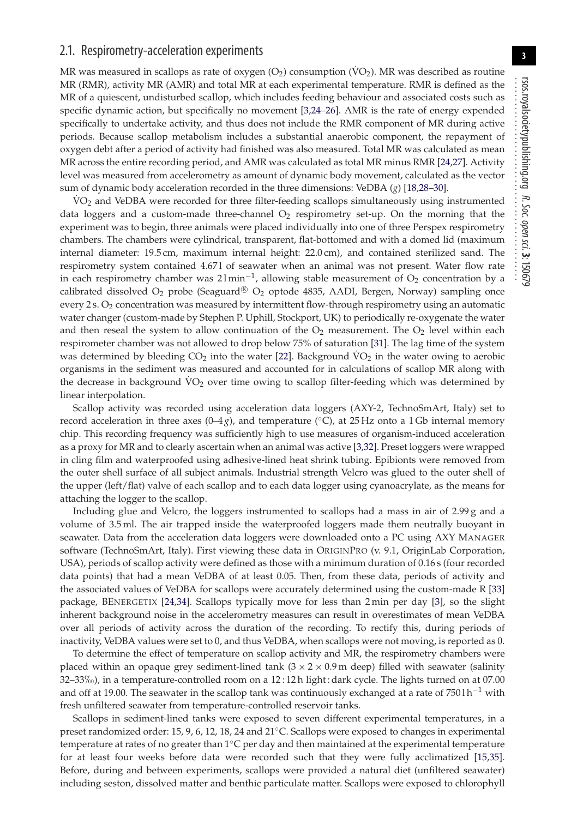#### 2.1. Respirometry-acceleration experiments

MR was measured in scallops as rate of oxygen  $(O_2)$  consumption  $(\rm VO_2)$ . MR was described as routine MR (RMR), activity MR (AMR) and total MR at each experimental temperature. RMR is defined as the MR of a quiescent, undisturbed scallop, which includes feeding behaviour and associated costs such as specific dynamic action, but specifically no movement [\[3,](#page-11-2)[24–](#page-11-19)[26\]](#page-11-20). AMR is the rate of energy expended specifically to undertake activity, and thus does not include the RMR component of MR during active periods. Because scallop metabolism includes a substantial anaerobic component, the repayment of oxygen debt after a period of activity had finished was also measured. Total MR was calculated as mean MR across the entire recording period, and AMR was calculated as total MR minus RMR [\[24](#page-11-19)[,27\]](#page-11-21). Activity level was measured from accelerometry as amount of dynamic body movement, calculated as the vector sum of dynamic body acceleration recorded in the three dimensions: VeDBA (*g*) [\[18](#page-11-16)[,28–](#page-11-22)[30\]](#page-11-23).

VO<sub>2</sub> and VeDBA were recorded for three filter-feeding scallops simultaneously using instrumented data loggers and a custom-made three-channel  $O<sub>2</sub>$  respirometry set-up. On the morning that the experiment was to begin, three animals were placed individually into one of three Perspex respirometry chambers. The chambers were cylindrical, transparent, flat-bottomed and with a domed lid (maximum internal diameter: 19.5 cm, maximum internal height: 22.0 cm), and contained sterilized sand. The respirometry system contained 4.67 l of seawater when an animal was not present. Water flow rate in each respirometry chamber was  $21$  min<sup>-1</sup>, allowing stable measurement of  $O_2$  concentration by a calibrated dissolved  $O_2$  probe (Seaguard<sup>®</sup>  $O_2$  optode 4835, AADI, Bergen, Norway) sampling once every  $2 s. O<sub>2</sub>$  concentration was measured by intermittent flow-through respirometry using an automatic water changer (custom-made by Stephen P. Uphill, Stockport, UK) to periodically re-oxygenate the water and then reseal the system to allow continuation of the  $O_2$  measurement. The  $O_2$  level within each respirometer chamber was not allowed to drop below 75% of saturation [\[31\]](#page-11-24). The lag time of the system was determined by bleeding  $CO<sub>2</sub>$  into the water [\[22\]](#page-11-17). Background  $VO<sub>2</sub>$  in the water owing to aerobic organisms in the sediment was measured and accounted for in calculations of scallop MR along with the decrease in background VO<sub>2</sub> over time owing to scallop filter-feeding which was determined by linear interpolation.

Scallop activity was recorded using acceleration data loggers (AXY-2, TechnoSmArt, Italy) set to record acceleration in three axes  $(0-4g)$ , and temperature  $(°C)$ , at 25 Hz onto a 1 Gb internal memory chip. This recording frequency was sufficiently high to use measures of organism-induced acceleration as a proxy for MR and to clearly ascertain when an animal was active [\[3](#page-11-2)[,32\]](#page-11-25). Preset loggers were wrapped in cling film and waterproofed using adhesive-lined heat shrink tubing. Epibionts were removed from the outer shell surface of all subject animals. Industrial strength Velcro was glued to the outer shell of the upper (left/flat) valve of each scallop and to each data logger using cyanoacrylate, as the means for attaching the logger to the scallop.

Including glue and Velcro, the loggers instrumented to scallops had a mass in air of 2.99 g and a volume of 3.5 ml. The air trapped inside the waterproofed loggers made them neutrally buoyant in seawater. Data from the acceleration data loggers were downloaded onto a PC using AXY MANAGER software (TechnoSmArt, Italy). First viewing these data in ORIGINPRO (v. 9.1, OriginLab Corporation, USA), periods of scallop activity were defined as those with a minimum duration of 0.16 s (four recorded data points) that had a mean VeDBA of at least 0.05. Then, from these data, periods of activity and the associated values of VeDBA for scallops were accurately determined using the custom-made R [\[33\]](#page-11-26) package, BENERGETIX [\[24](#page-11-19)[,34\]](#page-11-27). Scallops typically move for less than 2 min per day [\[3\]](#page-11-2), so the slight inherent background noise in the accelerometry measures can result in overestimates of mean VeDBA over all periods of activity across the duration of the recording. To rectify this, during periods of inactivity, VeDBA values were set to 0, and thus VeDBA, when scallops were not moving, is reported as 0.

To determine the effect of temperature on scallop activity and MR, the respirometry chambers were placed within an opaque grey sediment-lined tank  $(3 \times 2 \times 0.9 \text{ m}$  deep) filled with seawater (salinity 32–33-), in a temperature-controlled room on a 12 : 12 h light : dark cycle. The lights turned on at 07.00 and off at 19.00. The seawater in the scallop tank was continuously exchanged at a rate of  $7501 h^{-1}$  with fresh unfiltered seawater from temperature-controlled reservoir tanks.

Scallops in sediment-lined tanks were exposed to seven different experimental temperatures, in a preset randomized order: 15, 9, 6, 12, 18, 24 and 21◦C. Scallops were exposed to changes in experimental temperature at rates of no greater than 1◦C per day and then maintained at the experimental temperature for at least four weeks before data were recorded such that they were fully acclimatized [\[15](#page-11-13)[,35\]](#page-11-28). Before, during and between experiments, scallops were provided a natural diet (unfiltered seawater) including seston, dissolved matter and benthic particulate matter. Scallops were exposed to chlorophyll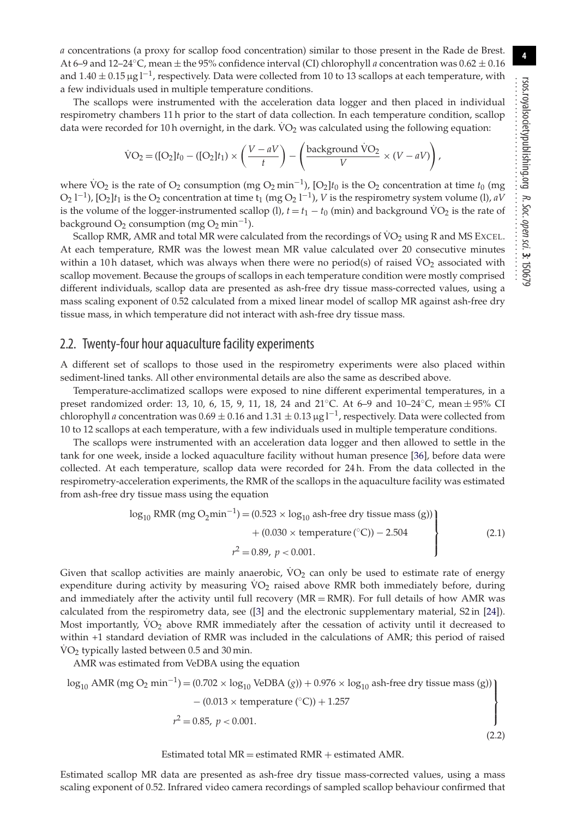*a* concentrations (a proxy for scallop food concentration) similar to those present in the Rade de Brest. At 6–9 and 12–24◦C, mean ± the 95% confidence interval (CI) chlorophyll *a* concentration was 0.62 ± 0.16 and  $1.40 \pm 0.15 \,\mu g l^{-1}$ , respectively. Data were collected from 10 to 13 scallops at each temperature, with a few individuals used in multiple temperature conditions.

The scallops were instrumented with the acceleration data logger and then placed in individual respirometry chambers 11 h prior to the start of data collection. In each temperature condition, scallop data were recorded for 10 h overnight, in the dark.  $VO<sub>2</sub>$  was calculated using the following equation:

$$
\text{VO}_2 = ([\text{O}_2]t_0 - ([\text{O}_2]t_1) \times \left(\frac{V - aV}{t}\right) - \left(\frac{\text{background \t\text{VO}_2}}{V} \times (V - aV)\right),
$$

where  $\rm \dot{VO}_2$  is the rate of  $\rm O_2$  consumption (mg  $\rm O_2$  min<sup>-1</sup>), [O<sub>2</sub>] $t_0$  is the  $\rm O_2$  concentration at time  $t_0$  (mg O<sub>2</sub> l<sup>-1</sup>), [O<sub>2</sub>] $t_1$  is the O<sub>2</sub> concentration at time t<sub>1</sub> (mg O<sub>2</sub> l<sup>-1</sup>), *V* is the respirometry system volume (l), *aV* is the volume of the logger-instrumented scallop (l),  $t = t_1 - t_0$  (min) and background  $\rm VO_2$  is the rate of background  $O_2$  consumption (mg  $O_2$  min<sup>-1</sup>).

Scallop RMR, AMR and total MR were calculated from the recordings of  $\rm\dot{VO}_2$  using R and MS EXCEL. At each temperature, RMR was the lowest mean MR value calculated over 20 consecutive minutes within a 10 h dataset, which was always when there were no period(s) of raised  $\rm VO_2$  associated with scallop movement. Because the groups of scallops in each temperature condition were mostly comprised different individuals, scallop data are presented as ash-free dry tissue mass-corrected values, using a mass scaling exponent of 0.52 calculated from a mixed linear model of scallop MR against ash-free dry tissue mass, in which temperature did not interact with ash-free dry tissue mass.

#### 2.2. Twenty-four hour aquaculture facility experiments

A different set of scallops to those used in the respirometry experiments were also placed within sediment-lined tanks. All other environmental details are also the same as described above.

Temperature-acclimatized scallops were exposed to nine different experimental temperatures, in a preset randomized order: 13, 10, 6, 15, 9, 11, 18, 24 and 21◦C. At 6–9 and 10–24◦C, mean ± 95% CI chlorophyll *a* concentration was  $0.69 \pm 0.16$  and  $1.31 \pm 0.13$  µg l<sup>-1</sup>, respectively. Data were collected from 10 to 12 scallops at each temperature, with a few individuals used in multiple temperature conditions.

The scallops were instrumented with an acceleration data logger and then allowed to settle in the tank for one week, inside a locked aquaculture facility without human presence [\[36\]](#page-11-29), before data were collected. At each temperature, scallop data were recorded for 24 h. From the data collected in the respirometry-acceleration experiments, the RMR of the scallops in the aquaculture facility was estimated from ash-free dry tissue mass using the equation

$$
\log_{10} \text{RMR (mg O}_2 \text{min}^{-1}) = (0.523 \times \log_{10} \text{ash-free dry tissue mass (g))} + (0.030 \times \text{temperature } (^{\circ}C)) - 2.504
$$
  

$$
r^2 = 0.89, p < 0.001.
$$
 (2.1)

Given that scallop activities are mainly anaerobic,  $VO<sub>2</sub>$  can only be used to estimate rate of energy expenditure during activity by measuring  $VO<sub>2</sub>$  raised above RMR both immediately before, during and immediately after the activity until full recovery ( $MR = RMR$ ). For full details of how AMR was calculated from the respirometry data, see ([\[3\]](#page-11-2) and the electronic supplementary material, S2 in [\[24\]](#page-11-19)). Most importantly,  $VO<sub>2</sub>$  above RMR immediately after the cessation of activity until it decreased to within +1 standard deviation of RMR was included in the calculations of AMR; this period of raised  $VO<sub>2</sub>$  typically lasted between 0.5 and 30 min.

AMR was estimated from VeDBA using the equation

$$
\log_{10} \text{AMR (mg O}_2 \text{ min}^{-1}) = (0.702 \times \log_{10} \text{VeDBA (g)}) + 0.976 \times \log_{10} \text{ash-free dry tissue mass (g)}) - (0.013 \times \text{temperature } (^{\circ}\text{C})) + 1.257
$$
  

$$
r^2 = 0.85, \ p < 0.001.
$$
 (2.2)

Estimated total  $MR =$  estimated  $RMR +$  estimated  $AMR$ .

Estimated scallop MR data are presented as ash-free dry tissue mass-corrected values, using a mass scaling exponent of 0.52. Infrared video camera recordings of sampled scallop behaviour confirmed that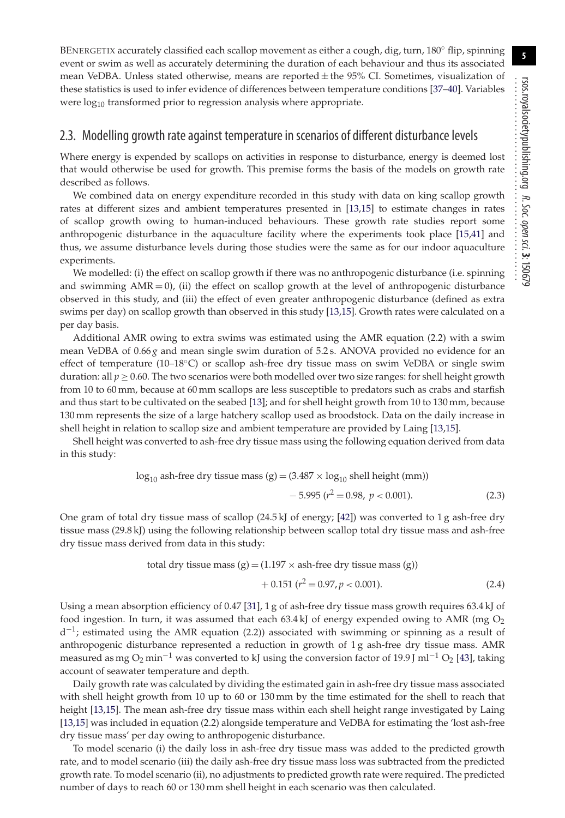BENERGETIX accurately classified each scallop movement as either a cough, dig, turn, 180° flip, spinning event or swim as well as accurately determining the duration of each behaviour and thus its associated mean VeDBA. Unless stated otherwise, means are reported  $\pm$  the 95% CI. Sometimes, visualization of these statistics is used to infer evidence of differences between temperature conditions [\[37](#page-11-30)[–40\]](#page-11-31). Variables were log<sub>10</sub> transformed prior to regression analysis where appropriate.

#### 2.3. Modelling growth rate against temperature in scenarios of different disturbance levels

Where energy is expended by scallops on activities in response to disturbance, energy is deemed lost that would otherwise be used for growth. This premise forms the basis of the models on growth rate described as follows.

We combined data on energy expenditure recorded in this study with data on king scallop growth rates at different sizes and ambient temperatures presented in [\[13,](#page-11-11)[15\]](#page-11-13) to estimate changes in rates of scallop growth owing to human-induced behaviours. These growth rate studies report some anthropogenic disturbance in the aquaculture facility where the experiments took place [\[15,](#page-11-13)[41\]](#page-12-0) and thus, we assume disturbance levels during those studies were the same as for our indoor aquaculture experiments.

We modelled: (i) the effect on scallop growth if there was no anthropogenic disturbance (i.e. spinning and swimming  $AMR = 0$ , (ii) the effect on scallop growth at the level of anthropogenic disturbance observed in this study, and (iii) the effect of even greater anthropogenic disturbance (defined as extra swims per day) on scallop growth than observed in this study [\[13,](#page-11-11)[15\]](#page-11-13). Growth rates were calculated on a per day basis.

Additional AMR owing to extra swims was estimated using the AMR equation (2.2) with a swim mean VeDBA of 0.66 *g* and mean single swim duration of 5.2 s. ANOVA provided no evidence for an effect of temperature (10–18◦C) or scallop ash-free dry tissue mass on swim VeDBA or single swim duration: all  $p \ge 0.60$ . The two scenarios were both modelled over two size ranges: for shell height growth from 10 to 60 mm, because at 60 mm scallops are less susceptible to predators such as crabs and starfish and thus start to be cultivated on the seabed [\[13\]](#page-11-11); and for shell height growth from 10 to 130 mm, because 130 mm represents the size of a large hatchery scallop used as broodstock. Data on the daily increase in shell height in relation to scallop size and ambient temperature are provided by Laing [\[13,](#page-11-11)[15\]](#page-11-13).

Shell height was converted to ash-free dry tissue mass using the following equation derived from data in this study:

$$
log_{10} \text{ ash-free dry tissue mass (g)} = (3.487 \times log_{10} \text{ shell height (mm)}) - 5.995 (r^2 = 0.98, p < 0.001). \tag{2.3}
$$

One gram of total dry tissue mass of scallop  $(24.5 \text{ kJ})$  of energy; [\[42\]](#page-12-1)) was converted to 1 g ash-free dry tissue mass (29.8 kJ) using the following relationship between scallop total dry tissue mass and ash-free dry tissue mass derived from data in this study:

total dry tissue mass (g) = 
$$
(1.197 \times \text{ash-free dry tissue mass (g)})
$$
  
+ 0.151 ( $r^2 = 0.97, p < 0.001$ ). (2.4)

Using a mean absorption efficiency of 0.47 [\[31\]](#page-11-24), 1 g of ash-free dry tissue mass growth requires 63.4 kJ of food ingestion. In turn, it was assumed that each 63.4 kJ of energy expended owing to AMR (mg  $O<sub>2</sub>$  $d^{-1}$ ; estimated using the AMR equation (2.2)) associated with swimming or spinning as a result of anthropogenic disturbance represented a reduction in growth of 1 g ash-free dry tissue mass. AMR measured as mg O<sub>2</sub> min<sup>-1</sup> was converted to kJ using the conversion factor of 19.9 J ml<sup>-1</sup> O<sub>2</sub> [\[43\]](#page-12-2), taking account of seawater temperature and depth.

Daily growth rate was calculated by dividing the estimated gain in ash-free dry tissue mass associated with shell height growth from 10 up to 60 or 130 mm by the time estimated for the shell to reach that height [\[13](#page-11-11)[,15\]](#page-11-13). The mean ash-free dry tissue mass within each shell height range investigated by Laing [\[13](#page-11-11)[,15\]](#page-11-13) was included in equation (2.2) alongside temperature and VeDBA for estimating the 'lost ash-free dry tissue mass' per day owing to anthropogenic disturbance.

To model scenario (i) the daily loss in ash-free dry tissue mass was added to the predicted growth rate, and to model scenario (iii) the daily ash-free dry tissue mass loss was subtracted from the predicted growth rate. To model scenario (ii), no adjustments to predicted growth rate were required. The predicted number of days to reach 60 or 130 mm shell height in each scenario was then calculated.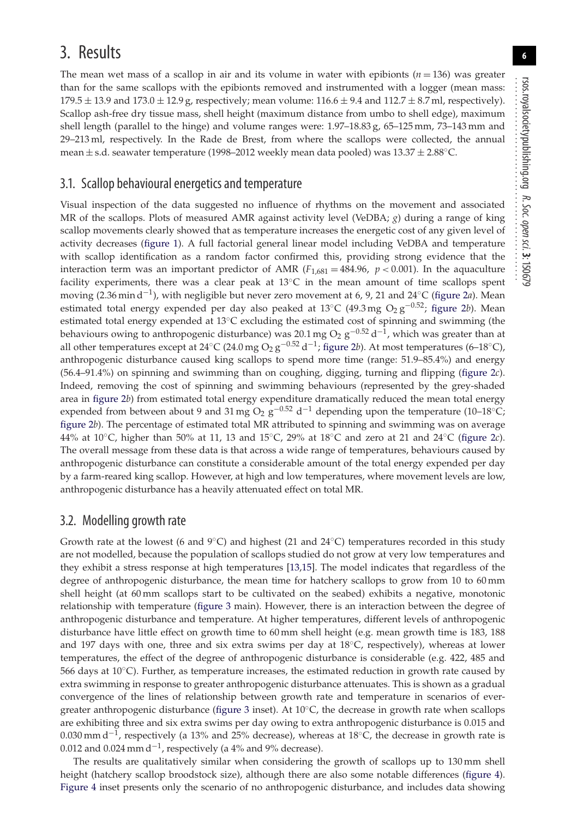## 3. Results

The mean wet mass of a scallop in air and its volume in water with epibionts  $(n = 136)$  was greater than for the same scallops with the epibionts removed and instrumented with a logger (mean mass:  $179.5 \pm 13.9$  and  $173.0 \pm 12.9$  g, respectively; mean volume:  $116.6 \pm 9.4$  and  $112.7 \pm 8.7$  ml, respectively). Scallop ash-free dry tissue mass, shell height (maximum distance from umbo to shell edge), maximum shell length (parallel to the hinge) and volume ranges were: 1.97–18.83 g, 65–125 mm, 73–143 mm and 29–213 ml, respectively. In the Rade de Brest, from where the scallops were collected, the annual mean  $\pm$  s.d. seawater temperature (1998–2012 weekly mean data pooled) was  $13.37 \pm 2.88$ °C.

#### 3.1. Scallop behavioural energetics and temperature

Visual inspection of the data suggested no influence of rhythms on the movement and associated MR of the scallops. Plots of measured AMR against activity level (VeDBA; *g*) during a range of king scallop movements clearly showed that as temperature increases the energetic cost of any given level of activity decreases [\(figure 1\)](#page-6-0). A full factorial general linear model including VeDBA and temperature with scallop identification as a random factor confirmed this, providing strong evidence that the interaction term was an important predictor of AMR  $(F_{1,681} = 484.96, p < 0.001)$ . In the aquaculture facility experiments, there was a clear peak at  $13^{\circ}$ C in the mean amount of time scallops spent moving (2.36 min d−1), with negligible but never zero movement at 6, 9, 21 and 24◦C [\(figure 2](#page-7-0)*a*). Mean estimated total energy expended per day also peaked at 13°C (49.3 mg O<sub>2</sub> g<sup>-0.52</sup>; [figure 2](#page-7-0)*b*). Mean estimated total energy expended at 13◦C excluding the estimated cost of spinning and swimming (the behaviours owing to anthropogenic disturbance) was 20.1 mg O<sub>2</sub> g<sup>-0.52</sup> d<sup>-1</sup>, which was greater than at all other temperatures except at 24℃ (24.0 mg O<sub>2</sub> g<sup>-0.52</sup> d<sup>-1</sup>; [figure 2](#page-7-0)*b*). At most temperatures (6–18°C), anthropogenic disturbance caused king scallops to spend more time (range: 51.9–85.4%) and energy (56.4–91.4%) on spinning and swimming than on coughing, digging, turning and flipping [\(figure 2](#page-7-0)*c*). Indeed, removing the cost of spinning and swimming behaviours (represented by the grey-shaded area in [figure 2](#page-7-0)*b*) from estimated total energy expenditure dramatically reduced the mean total energy expended from between about 9 and 31 mg O<sub>2</sub> g<sup>-0.52</sup> d<sup>-1</sup> depending upon the temperature (10–18°C; [figure 2](#page-7-0)*b*). The percentage of estimated total MR attributed to spinning and swimming was on average 44% at 10◦C, higher than 50% at 11, 13 and 15◦C, 29% at 18◦C and zero at 21 and 24◦C [\(figure 2](#page-7-0)*c*). The overall message from these data is that across a wide range of temperatures, behaviours caused by anthropogenic disturbance can constitute a considerable amount of the total energy expended per day by a farm-reared king scallop. However, at high and low temperatures, where movement levels are low, anthropogenic disturbance has a heavily attenuated effect on total MR.

#### 3.2. Modelling growth rate

Growth rate at the lowest (6 and  $9^{\circ}$ C) and highest (21 and  $24^{\circ}$ C) temperatures recorded in this study are not modelled, because the population of scallops studied do not grow at very low temperatures and they exhibit a stress response at high temperatures [\[13,](#page-11-11)[15\]](#page-11-13). The model indicates that regardless of the degree of anthropogenic disturbance, the mean time for hatchery scallops to grow from 10 to 60 mm shell height (at 60 mm scallops start to be cultivated on the seabed) exhibits a negative, monotonic relationship with temperature [\(figure 3](#page-8-0) main). However, there is an interaction between the degree of anthropogenic disturbance and temperature. At higher temperatures, different levels of anthropogenic disturbance have little effect on growth time to 60 mm shell height (e.g. mean growth time is 183, 188 and 197 days with one, three and six extra swims per day at  $18°C$ , respectively), whereas at lower temperatures, the effect of the degree of anthropogenic disturbance is considerable (e.g. 422, 485 and 566 days at 10◦C). Further, as temperature increases, the estimated reduction in growth rate caused by extra swimming in response to greater anthropogenic disturbance attenuates. This is shown as a gradual convergence of the lines of relationship between growth rate and temperature in scenarios of evergreater anthropogenic disturbance [\(figure 3](#page-8-0) inset). At 10◦C, the decrease in growth rate when scallops are exhibiting three and six extra swims per day owing to extra anthropogenic disturbance is 0.015 and 0.030 mm d<sup>-1</sup>, respectively (a 13% and 25% decrease), whereas at 18<sup>°</sup>C, the decrease in growth rate is 0.012 and 0.024 mm d<sup>-1</sup>, respectively (a 4% and 9% decrease).

The results are qualitatively similar when considering the growth of scallops up to 130 mm shell height (hatchery scallop broodstock size), although there are also some notable differences [\(figure 4\)](#page-9-0). [Figure 4](#page-9-0) inset presents only the scenario of no anthropogenic disturbance, and includes data showing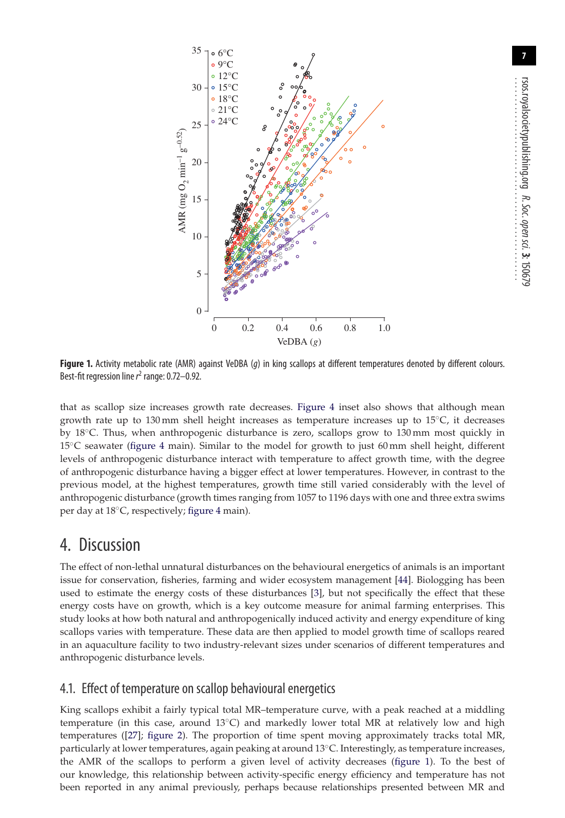

<span id="page-6-0"></span>Figure 1. Activity metabolic rate (AMR) against VeDBA (q) in king scallops at different temperatures denoted by different colours. Best-fit regression line  $r^2$  range: 0.72–0.92.

that as scallop size increases growth rate decreases. [Figure 4](#page-9-0) inset also shows that although mean growth rate up to 130 mm shell height increases as temperature increases up to 15◦C, it decreases by 18◦C. Thus, when anthropogenic disturbance is zero, scallops grow to 130 mm most quickly in 15◦C seawater [\(figure 4](#page-9-0) main). Similar to the model for growth to just 60 mm shell height, different levels of anthropogenic disturbance interact with temperature to affect growth time, with the degree of anthropogenic disturbance having a bigger effect at lower temperatures. However, in contrast to the previous model, at the highest temperatures, growth time still varied considerably with the level of anthropogenic disturbance (growth times ranging from 1057 to 1196 days with one and three extra swims per day at 18◦C, respectively; [figure 4](#page-9-0) main).

## 4. Discussion

The effect of non-lethal unnatural disturbances on the behavioural energetics of animals is an important issue for conservation, fisheries, farming and wider ecosystem management [\[44\]](#page-12-3). Biologging has been used to estimate the energy costs of these disturbances [\[3\]](#page-11-2), but not specifically the effect that these energy costs have on growth, which is a key outcome measure for animal farming enterprises. This study looks at how both natural and anthropogenically induced activity and energy expenditure of king scallops varies with temperature. These data are then applied to model growth time of scallops reared in an aquaculture facility to two industry-relevant sizes under scenarios of different temperatures and anthropogenic disturbance levels.

#### 4.1. Effect of temperature on scallop behavioural energetics

King scallops exhibit a fairly typical total MR–temperature curve, with a peak reached at a middling temperature (in this case, around 13 $\degree$ C) and markedly lower total MR at relatively low and high temperatures ([\[27\]](#page-11-21); [figure 2\)](#page-7-0). The proportion of time spent moving approximately tracks total MR, particularly at lower temperatures, again peaking at around 13◦C. Interestingly, as temperature increases, the AMR of the scallops to perform a given level of activity decreases [\(figure 1\)](#page-6-0). To the best of our knowledge, this relationship between activity-specific energy efficiency and temperature has not been reported in any animal previously, perhaps because relationships presented between MR and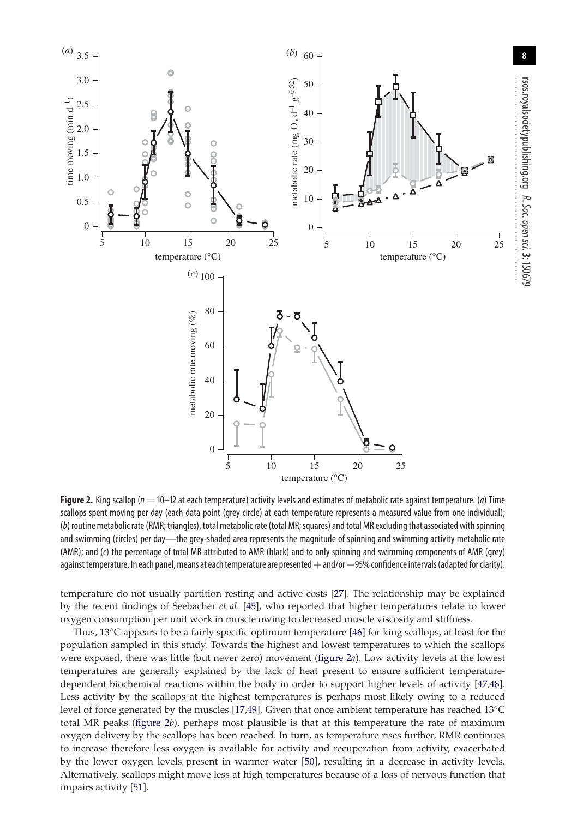

<span id="page-7-0"></span>**Figure 2.** King scallop ( $n = 10-12$  at each temperature) activity levels and estimates of metabolic rate against temperature. (a) Time scallops spent moving per day (each data point (grey circle) at each temperature represents a measured value from one individual); (b) routine metabolic rate (RMR; triangles), total metabolic rate (total MR; squares) and total MR excluding that associated with spinning and swimming (circles) per day—the grey-shaded area represents the magnitude of spinning and swimming activity metabolic rate (AMR); and (c) the percentage of total MR attributed to AMR (black) and to only spinning and swimming components of AMR (grey) against temperature. In each panel, means at each temperature are presented + and/or - 95% confidence intervals (adapted for clarity).

temperature do not usually partition resting and active costs [\[27\]](#page-11-21). The relationship may be explained by the recent findings of Seebacher *et al*. [\[45\]](#page-12-4), who reported that higher temperatures relate to lower oxygen consumption per unit work in muscle owing to decreased muscle viscosity and stiffness.

Thus, 13◦C appears to be a fairly specific optimum temperature [\[46\]](#page-12-5) for king scallops, at least for the population sampled in this study. Towards the highest and lowest temperatures to which the scallops were exposed, there was little (but never zero) movement [\(figure 2](#page-7-0)*a*). Low activity levels at the lowest temperatures are generally explained by the lack of heat present to ensure sufficient temperaturedependent biochemical reactions within the body in order to support higher levels of activity [\[47](#page-12-6)[,48\]](#page-12-7). Less activity by the scallops at the highest temperatures is perhaps most likely owing to a reduced level of force generated by the muscles [\[17](#page-11-15)[,49\]](#page-12-8). Given that once ambient temperature has reached 13◦C total MR peaks [\(figure 2](#page-7-0)*b*), perhaps most plausible is that at this temperature the rate of maximum oxygen delivery by the scallops has been reached. In turn, as temperature rises further, RMR continues to increase therefore less oxygen is available for activity and recuperation from activity, exacerbated by the lower oxygen levels present in warmer water [\[50\]](#page-12-9), resulting in a decrease in activity levels. Alternatively, scallops might move less at high temperatures because of a loss of nervous function that impairs activity [\[51\]](#page-12-10).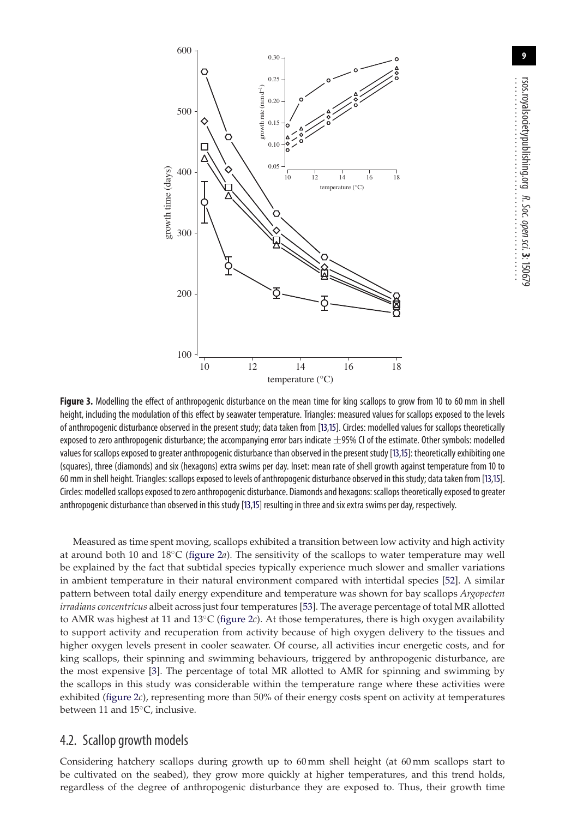

<span id="page-8-0"></span>**Figure 3.** Modelling the effect of anthropogenic disturbance on the mean time for king scallops to grow from 10 to 60 mm in shell height, including the modulation of this effect by seawater temperature. Triangles: measured values for scallops exposed to the levels of anthropogenic disturbance observed in the present study; data taken from [\[13](#page-11-11)[,15\]](#page-11-13). Circles: modelled values for scallops theoretically exposed to zero anthropogenic disturbance; the accompanying error bars indicate  $\pm$ 95% CI of the estimate. Other symbols: modelled values for scallops exposed to greater anthropogenic disturbance than observed in the present study [\[13,](#page-11-11)[15\]](#page-11-13): theoretically exhibiting one (squares), three (diamonds) and six (hexagons) extra swims per day. Inset: mean rate of shell growth against temperature from 10 to 60 mm in shell height. Triangles: scallops exposed to levels of anthropogenic disturbance observed in this study; data taken from [\[13,](#page-11-11)[15\]](#page-11-13). Circles: modelled scallops exposed to zero anthropogenic disturbance. Diamonds and hexagons: scallops theoretically exposed to greater anthropogenic disturbance than observed in this study [\[13,](#page-11-11)[15\]](#page-11-13) resulting in three and six extra swims per day, respectively.

Measured as time spent moving, scallops exhibited a transition between low activity and high activity at around both 10 and 18◦C [\(figure 2](#page-7-0)*a*). The sensitivity of the scallops to water temperature may well be explained by the fact that subtidal species typically experience much slower and smaller variations in ambient temperature in their natural environment compared with intertidal species [\[52\]](#page-12-11). A similar pattern between total daily energy expenditure and temperature was shown for bay scallops *Argopecten irradians concentricus* albeit across just four temperatures [\[53\]](#page-12-12). The average percentage of total MR allotted to AMR was highest at 11 and 13◦C [\(figure 2](#page-7-0)*c*). At those temperatures, there is high oxygen availability to support activity and recuperation from activity because of high oxygen delivery to the tissues and higher oxygen levels present in cooler seawater. Of course, all activities incur energetic costs, and for king scallops, their spinning and swimming behaviours, triggered by anthropogenic disturbance, are the most expensive [\[3\]](#page-11-2). The percentage of total MR allotted to AMR for spinning and swimming by the scallops in this study was considerable within the temperature range where these activities were exhibited [\(figure 2](#page-7-0)*c*), representing more than 50% of their energy costs spent on activity at temperatures between 11 and 15◦C, inclusive.

#### 4.2. Scallop growth models

Considering hatchery scallops during growth up to 60 mm shell height (at 60 mm scallops start to be cultivated on the seabed), they grow more quickly at higher temperatures, and this trend holds, regardless of the degree of anthropogenic disturbance they are exposed to. Thus, their growth time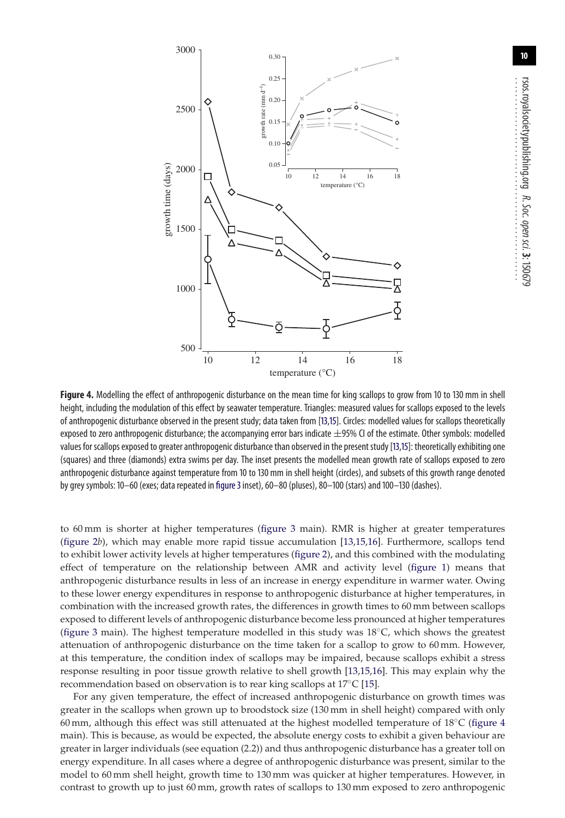

<span id="page-9-0"></span>**Figure 4.** Modelling the effect of anthropogenic disturbance on the mean time for king scallops to grow from 10 to 130 mm in shell height, including the modulation of this effect by seawater temperature. Triangles: measured values for scallops exposed to the levels of anthropogenic disturbance observed in the present study; data taken from [\[13,](#page-11-11)[15\]](#page-11-13). Circles: modelled values for scallops theoretically exposed to zero anthropogenic disturbance; the accompanying error bars indicate  $\pm$ 95% CI of the estimate. Other symbols: modelled values for scallops exposed to greater anthropogenic disturbance than observed in the present study [\[13](#page-11-11)[,15\]](#page-11-13): theoretically exhibiting one (squares) and three (diamonds) extra swims per day. The inset presents the modelled mean growth rate of scallops exposed to zero anthropogenic disturbance against temperature from 10 to 130 mm in shell height (circles), and subsets of this growth range denoted by grey symbols: 10–60 (exes; data repeated in [figure 3](#page-8-0)inset), 60–80 (pluses), 80–100 (stars) and 100–130 (dashes).

to 60 mm is shorter at higher temperatures [\(figure 3](#page-8-0) main). RMR is higher at greater temperatures [\(figure 2](#page-7-0)*b*), which may enable more rapid tissue accumulation [\[13](#page-11-11)[,15,](#page-11-13)[16\]](#page-11-14). Furthermore, scallops tend to exhibit lower activity levels at higher temperatures [\(figure 2\)](#page-7-0), and this combined with the modulating effect of temperature on the relationship between AMR and activity level [\(figure 1\)](#page-6-0) means that anthropogenic disturbance results in less of an increase in energy expenditure in warmer water. Owing to these lower energy expenditures in response to anthropogenic disturbance at higher temperatures, in combination with the increased growth rates, the differences in growth times to 60 mm between scallops exposed to different levels of anthropogenic disturbance become less pronounced at higher temperatures [\(figure 3](#page-8-0) main). The highest temperature modelled in this study was 18◦C, which shows the greatest attenuation of anthropogenic disturbance on the time taken for a scallop to grow to 60 mm. However, at this temperature, the condition index of scallops may be impaired, because scallops exhibit a stress response resulting in poor tissue growth relative to shell growth [\[13,](#page-11-11)[15,](#page-11-13)[16\]](#page-11-14). This may explain why the recommendation based on observation is to rear king scallops at 17◦C [\[15\]](#page-11-13).

For any given temperature, the effect of increased anthropogenic disturbance on growth times was greater in the scallops when grown up to broodstock size (130 mm in shell height) compared with only 60 mm, although this effect was still attenuated at the highest modelled temperature of 18◦C [\(figure 4](#page-9-0) main). This is because, as would be expected, the absolute energy costs to exhibit a given behaviour are greater in larger individuals (see equation (2.2)) and thus anthropogenic disturbance has a greater toll on energy expenditure. In all cases where a degree of anthropogenic disturbance was present, similar to the model to 60 mm shell height, growth time to 130 mm was quicker at higher temperatures. However, in contrast to growth up to just 60 mm, growth rates of scallops to 130 mm exposed to zero anthropogenic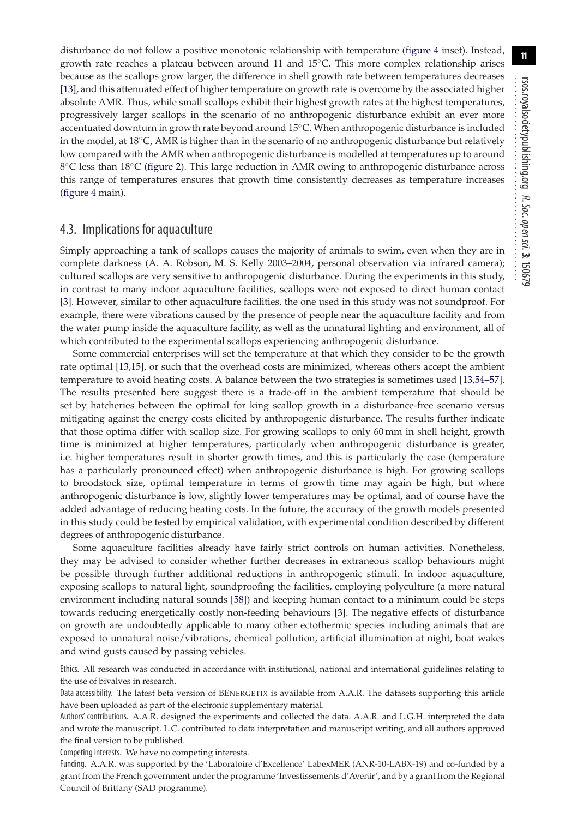disturbance do not follow a positive monotonic relationship with temperature [\(figure 4](#page-9-0) inset). Instead, growth rate reaches a plateau between around 11 and 15◦C. This more complex relationship arises because as the scallops grow larger, the difference in shell growth rate between temperatures decreases [\[13\]](#page-11-11), and this attenuated effect of higher temperature on growth rate is overcome by the associated higher absolute AMR. Thus, while small scallops exhibit their highest growth rates at the highest temperatures, progressively larger scallops in the scenario of no anthropogenic disturbance exhibit an ever more accentuated downturn in growth rate beyond around 15◦C. When anthropogenic disturbance is included in the model, at 18◦C, AMR is higher than in the scenario of no anthropogenic disturbance but relatively low compared with the AMR when anthropogenic disturbance is modelled at temperatures up to around 8℃ less than 18℃ [\(figure 2\)](#page-7-0). This large reduction in AMR owing to anthropogenic disturbance across this range of temperatures ensures that growth time consistently decreases as temperature increases [\(figure 4](#page-9-0) main).

#### 4.3. Implications for aquaculture

Simply approaching a tank of scallops causes the majority of animals to swim, even when they are in complete darkness (A. A. Robson, M. S. Kelly 2003–2004, personal observation via infrared camera); cultured scallops are very sensitive to anthropogenic disturbance. During the experiments in this study, in contrast to many indoor aquaculture facilities, scallops were not exposed to direct human contact [\[3\]](#page-11-2). However, similar to other aquaculture facilities, the one used in this study was not soundproof. For example, there were vibrations caused by the presence of people near the aquaculture facility and from the water pump inside the aquaculture facility, as well as the unnatural lighting and environment, all of which contributed to the experimental scallops experiencing anthropogenic disturbance.

Some commercial enterprises will set the temperature at that which they consider to be the growth rate optimal [\[13](#page-11-11)[,15\]](#page-11-13), or such that the overhead costs are minimized, whereas others accept the ambient temperature to avoid heating costs. A balance between the two strategies is sometimes used [\[13,](#page-11-11)[54](#page-12-13)[–57\]](#page-12-14). The results presented here suggest there is a trade-off in the ambient temperature that should be set by hatcheries between the optimal for king scallop growth in a disturbance-free scenario versus mitigating against the energy costs elicited by anthropogenic disturbance. The results further indicate that those optima differ with scallop size. For growing scallops to only 60 mm in shell height, growth time is minimized at higher temperatures, particularly when anthropogenic disturbance is greater, i.e. higher temperatures result in shorter growth times, and this is particularly the case (temperature has a particularly pronounced effect) when anthropogenic disturbance is high. For growing scallops to broodstock size, optimal temperature in terms of growth time may again be high, but where anthropogenic disturbance is low, slightly lower temperatures may be optimal, and of course have the added advantage of reducing heating costs. In the future, the accuracy of the growth models presented in this study could be tested by empirical validation, with experimental condition described by different degrees of anthropogenic disturbance.

Some aquaculture facilities already have fairly strict controls on human activities. Nonetheless, they may be advised to consider whether further decreases in extraneous scallop behaviours might be possible through further additional reductions in anthropogenic stimuli. In indoor aquaculture, exposing scallops to natural light, soundproofing the facilities, employing polyculture (a more natural environment including natural sounds [\[58\]](#page-12-15)) and keeping human contact to a minimum could be steps towards reducing energetically costly non-feeding behaviours [\[3\]](#page-11-2). The negative effects of disturbance on growth are undoubtedly applicable to many other ectothermic species including animals that are exposed to unnatural noise/vibrations, chemical pollution, artificial illumination at night, boat wakes and wind gusts caused by passing vehicles.

Ethics. All research was conducted in accordance with institutional, national and international guidelines relating to the use of bivalves in research.

Data accessibility. The latest beta version of BENERGETIX is available from A.A.R. The datasets supporting this article have been uploaded as part of the electronic supplementary material.

Authors' contributions. A.A.R. designed the experiments and collected the data. A.A.R. and L.G.H. interpreted the data and wrote the manuscript. L.C. contributed to data interpretation and manuscript writing, and all authors approved the final version to be published.

Competing interests. We have no competing interests.

Funding. A.A.R. was supported by the 'Laboratoire d'Excellence' LabexMER (ANR-10-LABX-19) and co-funded by a grant from the French government under the programme 'Investissements d'Avenir', and by a grant from the Regional Council of Brittany (SAD programme).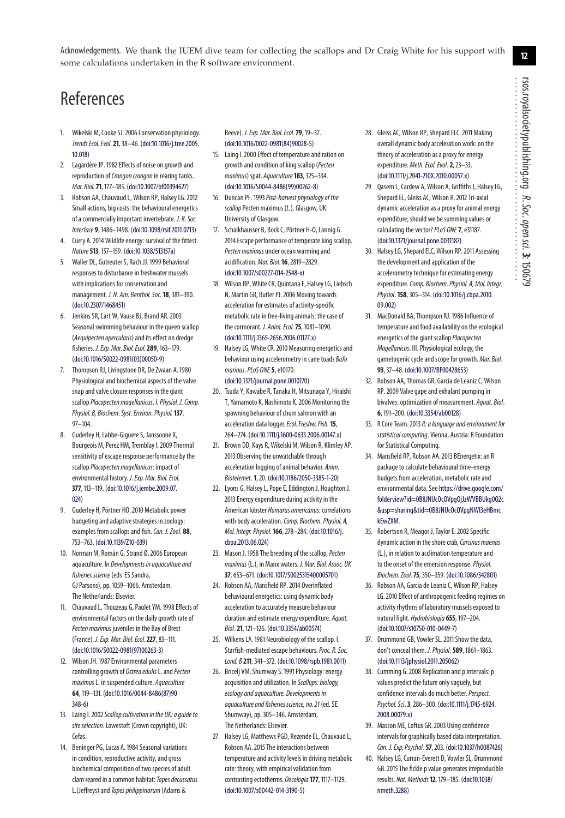................................................

Acknowledgements. We thank the IUEM dive team for collecting the scallops and Dr Craig White for his support with some calculations undertaken in the R software environment.

## References

- <span id="page-11-0"></span>1. Wikelski M, Cooke SJ. 2006 Conservation physiology. Trends Ecol. Evol.**21**, 38–46. [\(doi:10.1016/j.tree.2005.](http://dx.doi.org/doi:10.1016/j.tree.2005.10.018) [10.018\)](http://dx.doi.org/doi:10.1016/j.tree.2005.10.018)
- <span id="page-11-1"></span>2. Lagardère JP. 1982 Effects of noise on growth and reproduction of Crangon crangon in rearing tanks. Mar. Biol.**71**, 177–185. [\(doi:10.1007/bf00394627\)](http://dx.doi.org/doi:10.1007/bf00394627)
- <span id="page-11-2"></span>3. Robson AA, Chauvaud L, Wilson RP, Halsey LG. 2012 Small actions, big costs: the behavioural energetics of a commercially important invertebrate. J. R. Soc. Interface **9**, 1486–1498. [\(doi:10.1098/rsif.2011.0713\)](http://dx.doi.org/doi:10.1098/rsif.2011.0713)
- <span id="page-11-3"></span>4. Curry A. 2014 Wildlife energy: survival of the fittest. Nature**513**, 157–159. [\(doi:10.1038/513157a\)](http://dx.doi.org/doi:10.1038/513157a)
- <span id="page-11-4"></span>5. Waller DL, Gutreuter S, Rach JJ. 1999 Behavioral responses to disturbance in freshwater mussels with implications for conservation and management. J. N. Am. Benthol. Soc.**18**, 381–390. [\(doi:10.2307/1468451\)](http://dx.doi.org/doi:10.2307/1468451)
- <span id="page-11-5"></span>6. Jenkins SR, Lart W, Vause BJ, Brand AR. 2003 Seasonal swimming behaviour in the queen scallop (Aequipecten opercularis) and its effect on dredge fisheries. J. Exp. Mar. Biol. Ecol.**289**, 163–179. [\(doi:10.1016/S0022-0981\(03\)00050-9\)](http://dx.doi.org/doi:10.1016/S0022-0981(03)00050-9)
- <span id="page-11-6"></span>7. Thompson RJ, Livingstone DR, De Zwaan A. 1980 Physiological and biochemical aspects of the valve snap and valve closure responses in the giant scallop Placopecten magellanicus. I. Physiol. J. Comp. Physiol. B, Biochem. Syst. Environ. Physiol.**137**, 97–104.
- 8. Guderley H, Labbe-Giguere S, Janssoone X, Bourgeois M, Perez HM, Tremblay I. 2009 Thermal sensitivity of escape response performance by the scallop Placopecten magellanicus: impact of environmental history. J. Exp. Mar. Biol. Ecol. **377**, 113–119. [\(doi:10.1016/j.jembe.2009.07.](http://dx.doi.org/doi:10.1016/j.jembe.2009.07.024) [024\)](http://dx.doi.org/doi:10.1016/j.jembe.2009.07.024)
- <span id="page-11-7"></span>9. Guderley H, Pörtner HO. 2010 Metabolic power budgeting and adaptive strategies in zoology: examples from scallops and fish. Can. J. Zool. 88, 753–763. [\(doi:10.1139/Z10-039\)](http://dx.doi.org/doi:10.1139/Z10-039)
- <span id="page-11-8"></span>10. Norman M, Román G, Strand Ø. 2006 European aquaculture. In Developments in aquaculture and fisheries science (eds ES Sandra, GJ Parsons), pp. 1059–1066. Amsterdam, The Netherlands: Elsevier.
- <span id="page-11-9"></span>11. Chauvaud L, Thouzeau G, Paulet YM. 1998 Effects of environmental factors on the daily growth rate of Pecten maximus juveniles in the Bay of Brest (France). J. Exp. Mar. Biol. Ecol.**227**, 83–111. [\(doi:10.1016/S0022-0981\(97\)00263-3\)](http://dx.doi.org/doi:10.1016/S0022-0981(97)00263-3)
- <span id="page-11-10"></span>12. Wilson JH. 1987 Environmental parameters controlling growth of Ostrea edulis L. and Pecten maximus L. in suspended culture. Aquaculture **64**, 119–131. [\(doi:10.1016/0044-8486\(87\)90](http://dx.doi.org/doi:10.1016/0044-8486(87)90348-6) [348-6\)](http://dx.doi.org/doi:10.1016/0044-8486(87)90348-6)
- <span id="page-11-11"></span>13. Laing I. 2002 Scallop cultivation in the UK: a quide to site selection. Lowestoft (Crown copyright), UK: Cefas.
- <span id="page-11-12"></span>14. Beninger PG, Lucas A. 1984 Seasonal variations in condition, reproductive activity, and gross biochemical composition of two species of adult clam reared in a common habitat: Tapes decussatus L.(Jeffreys) and Tapes philippinarum (Adams &

Reeve). J. Exp. Mar. Biol. Ecol.**79**, 19–37. [\(doi:10.1016/0022-0981\(84\)90028-5\)](http://dx.doi.org/doi:10.1016/0022-0981(84)90028-5)

- <span id="page-11-13"></span>15. Laing I. 2000 Effect of temperature and ration on growth and condition of king scallop (Pecten maximus) spat. Aquaculture**183**, 325–334. [\(doi:10.1016/S0044-8486\(99\)00262-8\)](http://dx.doi.org/doi:10.1016/S0044-8486(99)00262-8)
- <span id="page-11-14"></span>16. Duncan PF. 1993 Post-harvest physiology of the scallop Pecten maximus (L.). Glasgow, UK: University of Glasgow.
- <span id="page-11-15"></span>17. Schalkhausser B, Bock C, Pörtner H-O, Lannig G. 2014 Escape performance of temperate king scallop, Pecten maximus under ocean warming and acidification. Mar. Biol.**16**, 2819–2829. [\(doi:10.1007/s00227-014-2548-x\)](http://dx.doi.org/doi:10.1007/s00227-014-2548-x)
- <span id="page-11-16"></span>18. Wilson RP, White CR, Quintana F, Halsey LG, Liebsch N, Martin GR, Butler PJ. 2006 Moving towards acceleration for estimates of activity-specific metabolic rate in free-living animals: the case of the cormorant. J. Anim. Ecol.**75**, 1081–1090. [\(doi:10.1111/j.1365-2656.2006.01127.x\)](http://dx.doi.org/doi:10.1111/j.1365-2656.2006.01127.x)
- 19. Halsey LG, White CR. 2010 Measuring energetics and behaviour using accelerometry in cane toads Bufo marinus.PLoS ONE **5**, e10170. [\(doi:10.1371/journal.pone.0010170\)](http://dx.doi.org/doi:10.1371/journal.pone.0010170)
- 20. Tsuda Y, Kawabe R, Tanaka H, Mitsunaga Y, Hiraishi T, Yamamoto K, Nashimoto K. 2006 Monitoring the spawning behaviour of chum salmon with an acceleration data logger.Ecol. Freshw. Fish.**15**, 264–274. [\(doi:10.1111/j.1600-0633.2006.00147.x\)](http://dx.doi.org/doi:10.1111/j.1600-0633.2006.00147.x)
- 21. Brown DD, Kays R, Wikelski M, Wilson R, Klimley AP. 2013 Observing the unwatchable through acceleration logging of animal behavior. Anim. Biotelemet.**1**, 20. [\(doi:10.1186/2050-3385-1-20\)](http://dx.doi.org/doi:10.1186/2050-3385-1-20)
- <span id="page-11-17"></span>22. Lyons G, Halsey L, Pope E, Eddington J, Houghton J. 2013 Energy expenditure during activity in the American lobster Homarus americanus: correlations with body acceleration. Comp. Biochem. Physiol. A, Mol. Integr. Physiol.**166**, 278–284. [\(doi:10.1016/j.](http://dx.doi.org/doi:10.1016/j.cbpa.2013.06.024) [cbpa.2013.06.024\)](http://dx.doi.org/doi:10.1016/j.cbpa.2013.06.024)
- <span id="page-11-18"></span>23. Mason J. 1958 The breeding of the scallop, Pecten maximus (L.), in Manx waters. J. Mar. Biol. Assoc. UK **37**, 653–671. [\(doi:10.1017/S0025315400005701\)](http://dx.doi.org/doi:10.1017/S0025315400005701)
- <span id="page-11-19"></span>24. Robson AA, Mansfield RP. 2014 Overinflated behavioural energetics: using dynamic body acceleration to accurately measure behaviour duration and estimate energy expenditure. Aquat. Biol.**21**, 121–126. [\(doi:10.3354/ab00574\)](http://dx.doi.org/doi:10.3354/ab00574)
- 25. Wilkens LA. 1981 Neurobiology of the scallop. I. Starfish-mediated escape behaviours. Proc. R. Soc. Lond. B **211**, 341–372. [\(doi:10.1098/rspb.1981.0011\)](http://dx.doi.org/doi:10.1098/rspb.1981.0011)
- <span id="page-11-20"></span>26. Bricelj VM, Shumway S. 1991 Physiology: energy acquisition and utilization. In Scallops: biology, ecology and aquaculture. Developments in aquaculture and fisheries science, no. 21 (ed. SE Shumway), pp. 305–346. Amsterdam, The Netherlands: Elsevier.
- <span id="page-11-21"></span>27. Halsey LG, Matthews PGD, Rezende EL, Chauvaud L, Robson AA. 2015 The interactions between temperature and activity levels in driving metabolic rate: theory, with empirical validation from contrasting ectotherms. Oecologia**177**, 1117–1129. [\(doi:10.1007/s00442-014-3190-5\)](http://dx.doi.org/doi:10.1007/s00442-014-3190-5)
- <span id="page-11-22"></span>28. Gleiss AC, Wilson RP, Shepard ELC. 2011 Making overall dynamic body acceleration work: on the theory of acceleration as a proxy for energy expenditure. Meth. Ecol. Evol.**2**, 23–33. [\(doi:10.1111/j.2041-210X.2010.00057.x\)](http://dx.doi.org/doi:10.1111/j.2041-210X.2010.00057.x)
- 29. Qasem L, Cardew A, Wilson A, Griffiths I, Halsey LG, Shepard EL, Gleiss AC, Wilson R. 2012 Tri-axial dynamic acceleration as a proxy for animal energy expenditure; should we be summing values or calculating the vector? PLoS ONE 7, e31187. [\(doi:10.1371/journal.pone.0031187\)](http://dx.doi.org/doi:10.1371/journal.pone.0031187)
- <span id="page-11-23"></span>30. Halsey LG, Shepard ELC, Wilson RP. 2011 Assessing the development and application of the accelerometry technique for estimating energy expenditure. Comp. Biochem. Physiol. A, Mol. Integr. Physiol.**158**, 305–314. [\(doi:10.1016/j.cbpa.2010.](http://dx.doi.org/doi:10.1016/j.cbpa.2010.09.002) [09.002\)](http://dx.doi.org/doi:10.1016/j.cbpa.2010.09.002)
- <span id="page-11-24"></span>31. MacDonald BA, Thompson RJ. 1986 Influence of temperature and food availability on the ecological energetics of the giant scallop Placopecten Magellanicus. III. Physiological ecology, the gametogenic cycle and scope for growth. Mar. Biol. **93**, 37–48. [\(doi:10.1007/BF00428653\)](http://dx.doi.org/doi:10.1007/BF00428653)
- <span id="page-11-25"></span>32. Robson AA, Thomas GR, Garcia de Leaniz C, Wilson RP. 2009 Valve gape and exhalant pumping in bivalves: optimization of measurement. Aquat. Biol. **6**, 191–200. [\(doi:10.3354/ab00128\)](http://dx.doi.org/doi:10.3354/ab00128)
- <span id="page-11-26"></span>33. R Core Team. 2013 R: a language and environment for statistical computing. Vienna, Austria: R Foundation for Statistical Computing.
- <span id="page-11-27"></span>34. Mansfield RP, Robson AA. 2013 BEnergetix: an R package to calculate behavioural time-energy budgets from acceleration, metabolic rate and environmental data. See [https://drive.google.com/](https://drive.google.com/folderview?id=0B8JNUcOcQVpgQjJzWVBBUkg0Q2c{\&}usp=sharing{\&}tid=0B8JNUcOcQVpgNWI3eHBmckEwZXM) [folderview?id=0B8JNUcOcQVpgQjJzWVBBUkg0Q2c](https://drive.google.com/folderview?id=0B8JNUcOcQVpgQjJzWVBBUkg0Q2c{\&}usp=sharing{\&}tid=0B8JNUcOcQVpgNWI3eHBmckEwZXM) [&usp=sharing&tid=0B8JNUcOcQVpgNWI3eHBmc](https://drive.google.com/folderview?id=0B8JNUcOcQVpgQjJzWVBBUkg0Q2c{\&}usp=sharing{\&}tid=0B8JNUcOcQVpgNWI3eHBmckEwZXM) [kEwZXM.](https://drive.google.com/folderview?id=0B8JNUcOcQVpgQjJzWVBBUkg0Q2c{\&}usp=sharing{\&}tid=0B8JNUcOcQVpgNWI3eHBmckEwZXM)
- <span id="page-11-28"></span>35. Robertson R, Meagor J, Taylor E. 2002 Specific dynamic action in the shore crab, Carcinus maenas (L.), in relation to acclimation temperature and to the onset of the emersion response. Physiol. Biochem. Zool.**75**, 350–359. [\(doi:10.1086/342801\)](http://dx.doi.org/doi:10.1086/342801)
- <span id="page-11-29"></span>36. Robson AA, Garcia de Leaniz C, Wilson RP, Halsey LG. 2010 Effect of anthropogenic feeding regimes on activity rhythms of laboratory mussels exposed to natural light. Hydrobiologia **655**, 197–204. [\(doi:10.1007/s10750-010-0449-7\)](http://dx.doi.org/doi:10.1007/s10750-010-0449-7)
- <span id="page-11-30"></span>37. Drummond GB, Vowler SL. 2011 Show the data, don't conceal them. J. Physiol.**589**, 1861–1863. [\(doi:10.1113/jphysiol.2011.205062\)](http://dx.doi.org/doi:10.1113/jphysiol.2011.205062)
- 38. Cumming G. 2008 Replication and p intervals: p values predict the future only vaguely, but confidence intervals do much better. Perspect. Psychol. Sci.**3**, 286–300. [\(doi:10.1111/j.1745-6924.](http://dx.doi.org/doi:10.1111/j.1745-6924.2008.00079.x) [2008.00079.x\)](http://dx.doi.org/doi:10.1111/j.1745-6924.2008.00079.x)
- 39. Masson ME, Loftus GR. 2003 Using confidence intervals for graphically based data interpretation. Can. J. Exp. Psychol.**57**, 203. [\(doi:10.1037/h0087426\)](http://dx.doi.org/doi:10.1037/h0087426)
- <span id="page-11-31"></span>40. Halsey LG, Curran-Everett D, Vowler SL, Drummond GB. 2015 The fickle p value generates irreproducible results. Nat. Methods**12**, 179–185. [\(doi:10.1038/](http://dx.doi.org/doi:10.1038/nmeth.3288) [nmeth.3288\)](http://dx.doi.org/doi:10.1038/nmeth.3288)